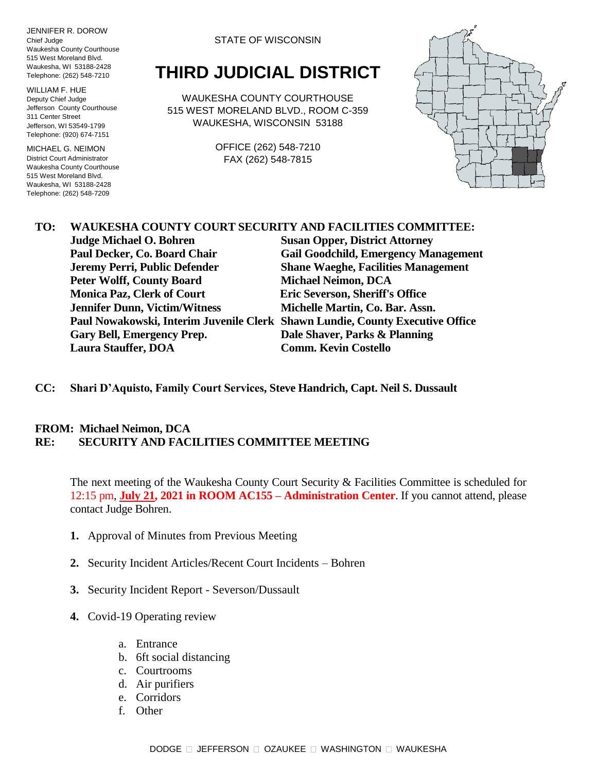JENNIFER R. DOROW Chief Judge Waukesha County Courthouse 515 West Moreland Blvd. Waukesha, WI 53188-2428 Telephone: (262) 548-7210

WILLIAM F. HUE Deputy Chief Judge Jefferson County Courthouse 311 Center Street Jefferson, WI 53549-1799 Telephone: (920) 674-7151

MICHAEL G. NEIMON District Court Administrator Waukesha County Courthouse 515 West Moreland Blvd. Waukesha, WI 53188-2428 Telephone: (262) 548-7209

STATE OF WISCONSIN

## **THIRD JUDICIAL DISTRICT**

WAUKESHA COUNTY COURTHOUSE 515 WEST MORELAND BLVD., ROOM C-359 WAUKESHA, WISCONSIN 53188

> OFFICE (262) 548-7210 FAX (262) 548-7815



## **TO: WAUKESHA COUNTY COURT SECURITY AND FACILITIES COMMITTEE:**

**Judge Michael O. Bohren Susan Opper, District Attorney Paul Decker, Co. Board Chair Gail Goodchild, Emergency Management Jeremy Perri, Public Defender Shane Waeghe, Facilities Management Peter Wolff, County Board Michael Neimon, DCA Monica Paz, Clerk of Court Eric Severson, Sheriff's Office Jennifer Dunn, Victim/Witness Michelle Martin, Co. Bar. Assn. Paul Nowakowski, Interim Juvenile Clerk Shawn Lundie, County Executive Office Gary Bell, Emergency Prep. Dale Shaver, Parks & Planning Laura Stauffer, DOA Comm. Kevin Costello**

**CC: Shari D'Aquisto, Family Court Services, Steve Handrich, Capt. Neil S. Dussault**

## **FROM: Michael Neimon, DCA RE: SECURITY AND FACILITIES COMMITTEE MEETING**

The next meeting of the Waukesha County Court Security & Facilities Committee is scheduled for 12:15 pm, **July 21, 2021 in ROOM AC155 – Administration Center**. If you cannot attend, please contact Judge Bohren.

- **1.** Approval of Minutes from Previous Meeting
- **2.** Security Incident Articles/Recent Court Incidents Bohren
- **3.** Security Incident Report Severson/Dussault
- **4.** Covid-19 Operating review
	- a. Entrance
	- b. 6ft social distancing
	- c. Courtrooms
	- d. Air purifiers
	- e. Corridors
	- f. Other